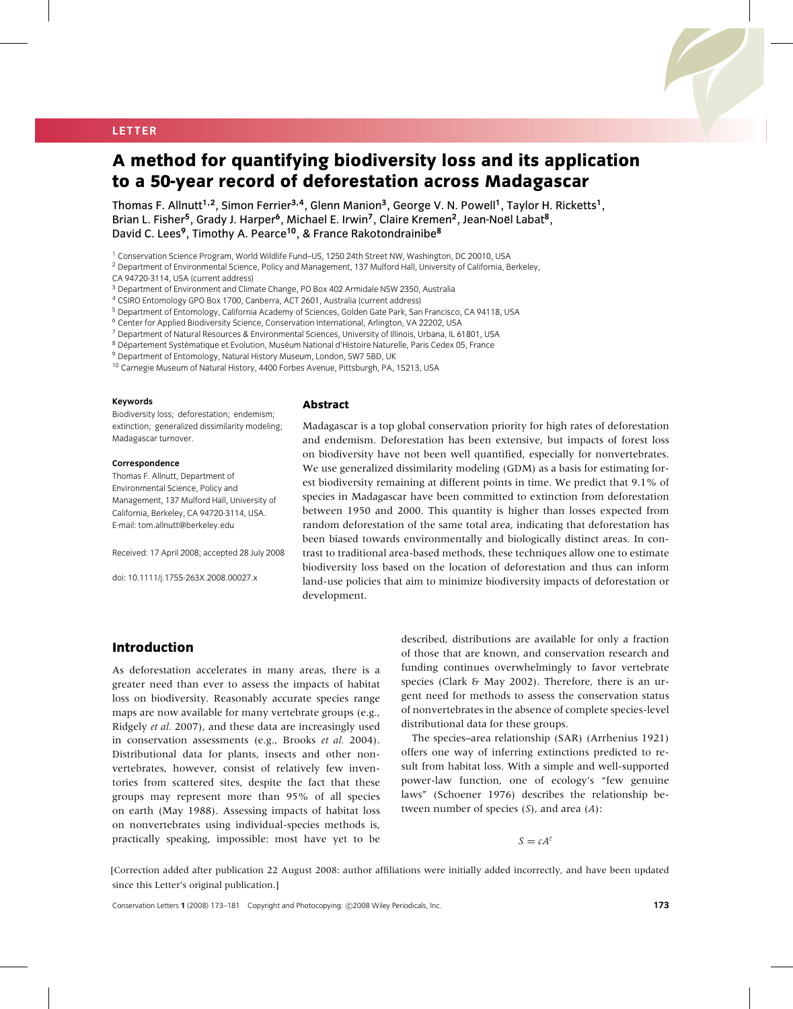## **LETTER**

# **A method for quantifying biodiversity loss and its application to a 50-year record of deforestation across Madagascar**

Thomas F. Allnutt**<sup>1</sup>***,***<sup>2</sup>**, Simon Ferrier**<sup>3</sup>***,***<sup>4</sup>**, Glenn Manion**<sup>3</sup>**, George V. N. Powell**<sup>1</sup>**, Taylor H. Ricketts**<sup>1</sup>**, Brian L. Fisher<sup>5</sup>, Grady J. Harper<sup>6</sup>, Michael E. Irwin<sup>7</sup>, Claire Kremen<sup>2</sup>, Jean-Noël Labat<sup>8</sup>, David C. Lees**<sup>9</sup>**, Timothy A. Pearce**<sup>10</sup>**, & France Rakotondrainibe**<sup>8</sup>**

<sup>1</sup> Conservation Science Program, World Wildlife Fund–US, 1250 24th Street NW, Washington, DC 20010. USA

<sup>2</sup> Department of Environmental Science, Policy and Management, 137 Mulford Hall, University of California, Berkeley,

CA 94720-3114, USA (current address)

<sup>3</sup> Department of Environment and Climate Change, PO Box 402 Armidale NSW 2350, Australia

<sup>4</sup> CSIRO Entomology GPO Box 1700, Canberra, ACT 2601, Australia (current address)

<sup>5</sup> Department of Entomology, California Academy of Sciences, Golden Gate Park, San Francisco, CA 94118, USA

<sup>6</sup> Center for Applied Biodiversity Science, Conservation International, Arlington, VA 22202, USA

<sup>7</sup> Department of Natural Resources & Environmental Sciences, University of Illinois, Urbana, IL 61801, USA

8 Département Systématique et Evolution, Muséum National d'Histoire Naturelle, Paris Cedex 05, France

<sup>9</sup> Department of Entomology, Natural History Museum, London, SW7 5BD, UK

<sup>10</sup> Carnegie Museum of Natural History, 4400 Forbes Avenue, Pittsburgh, PA, 15213, USA

#### **Keywords**

Biodiversity loss; deforestation; endemism; extinction; generalized dissimilarity modeling; Madagascar turnover.

#### **Correspondence**

Thomas F. Allnutt, Department of Environmental Science, Policy and Management, 137 Mulford Hall, University of California, Berkeley, CA 94720-3114, USA. E-mail: tom.allnutt@berkeley.edu

Received: 17 April 2008; accepted 28 July 2008

doi: 10.1111/j.1755-263X.2008.00027.x

### **Abstract**

Madagascar is a top global conservation priority for high rates of deforestation and endemism. Deforestation has been extensive, but impacts of forest loss on biodiversity have not been well quantified, especially for nonvertebrates. We use generalized dissimilarity modeling (GDM) as a basis for estimating forest biodiversity remaining at different points in time. We predict that 9.1% of species in Madagascar have been committed to extinction from deforestation between 1950 and 2000. This quantity is higher than losses expected from random deforestation of the same total area, indicating that deforestation has been biased towards environmentally and biologically distinct areas. In contrast to traditional area-based methods, these techniques allow one to estimate biodiversity loss based on the location of deforestation and thus can inform land-use policies that aim to minimize biodiversity impacts of deforestation or development.

# **Introduction**

As deforestation accelerates in many areas, there is a greater need than ever to assess the impacts of habitat loss on biodiversity. Reasonably accurate species range maps are now available for many vertebrate groups (e.g., Ridgely *et al.* 2007), and these data are increasingly used in conservation assessments (e.g., Brooks *et al.* 2004). Distributional data for plants, insects and other nonvertebrates, however, consist of relatively few inventories from scattered sites, despite the fact that these groups may represent more than 95% of all species on earth (May 1988). Assessing impacts of habitat loss on nonvertebrates using individual-species methods is, practically speaking, impossible: most have yet to be described, distributions are available for only a fraction of those that are known, and conservation research and funding continues overwhelmingly to favor vertebrate species (Clark & May 2002). Therefore, there is an urgent need for methods to assess the conservation status of nonvertebrates in the absence of complete species-level distributional data for these groups.

The species–area relationship (SAR) (Arrhenius 1921) offers one way of inferring extinctions predicted to result from habitat loss. With a simple and well-supported power-law function, one of ecology's "few genuine laws" (Schoener 1976) describes the relationship between number of species (*S*), and area (*A*):

 $S = cA^z$ 

[Correction added after publication 22 August 2008: author affiliations were initially added incorrectly, and have been updated since this Letter's original publication.]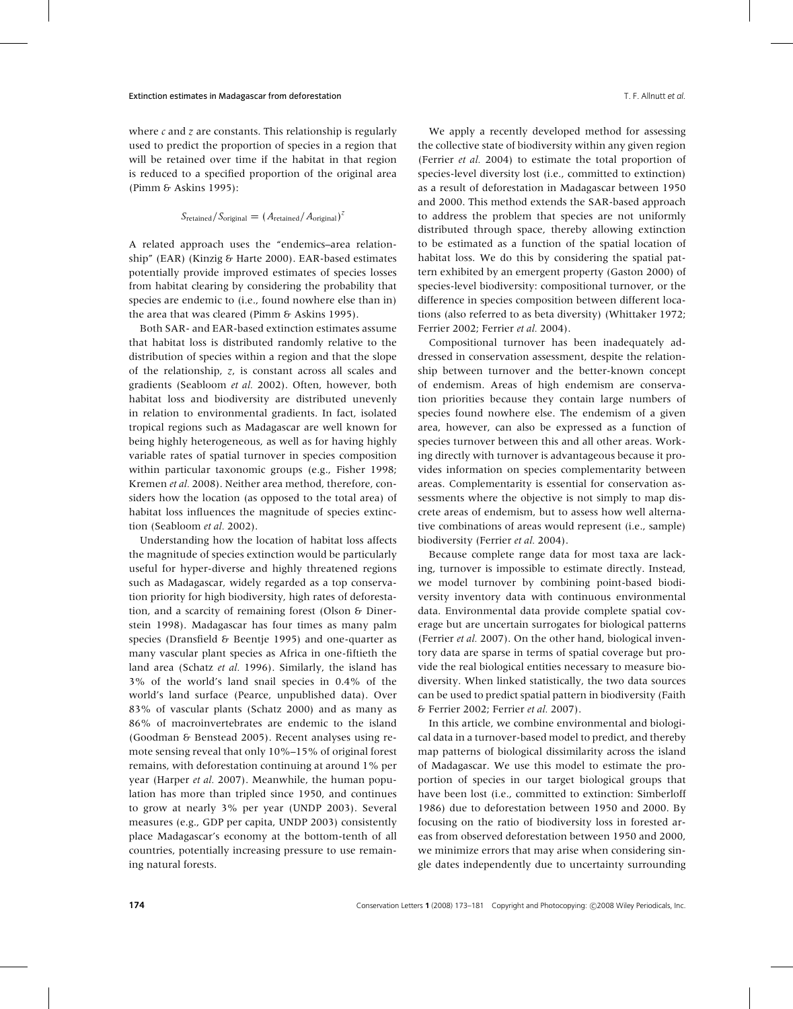where *c* and *z* are constants. This relationship is regularly used to predict the proportion of species in a region that will be retained over time if the habitat in that region is reduced to a specified proportion of the original area (Pimm & Askins 1995):

$$
S_{\text{retained}}/S_{\text{original}} = (A_{\text{retained}}/A_{\text{original}})^z
$$

A related approach uses the "endemics–area relationship" (EAR) (Kinzig & Harte 2000). EAR-based estimates potentially provide improved estimates of species losses from habitat clearing by considering the probability that species are endemic to (i.e., found nowhere else than in) the area that was cleared (Pimm & Askins 1995).

Both SAR- and EAR-based extinction estimates assume that habitat loss is distributed randomly relative to the distribution of species within a region and that the slope of the relationship, *z*, is constant across all scales and gradients (Seabloom *et al.* 2002). Often, however, both habitat loss and biodiversity are distributed unevenly in relation to environmental gradients. In fact, isolated tropical regions such as Madagascar are well known for being highly heterogeneous, as well as for having highly variable rates of spatial turnover in species composition within particular taxonomic groups (e.g., Fisher 1998; Kremen *et al.* 2008). Neither area method, therefore, considers how the location (as opposed to the total area) of habitat loss influences the magnitude of species extinction (Seabloom *et al.* 2002).

Understanding how the location of habitat loss affects the magnitude of species extinction would be particularly useful for hyper-diverse and highly threatened regions such as Madagascar, widely regarded as a top conservation priority for high biodiversity, high rates of deforestation, and a scarcity of remaining forest (Olson & Dinerstein 1998). Madagascar has four times as many palm species (Dransfield & Beentje 1995) and one-quarter as many vascular plant species as Africa in one-fiftieth the land area (Schatz *et al.* 1996). Similarly, the island has 3% of the world's land snail species in 0.4% of the world's land surface (Pearce, unpublished data). Over 83% of vascular plants (Schatz 2000) and as many as 86% of macroinvertebrates are endemic to the island (Goodman & Benstead 2005). Recent analyses using remote sensing reveal that only 10%–15% of original forest remains, with deforestation continuing at around 1% per year (Harper *et al.* 2007). Meanwhile, the human population has more than tripled since 1950, and continues to grow at nearly 3% per year (UNDP 2003). Several measures (e.g., GDP per capita, UNDP 2003) consistently place Madagascar's economy at the bottom-tenth of all countries, potentially increasing pressure to use remaining natural forests.

We apply a recently developed method for assessing the collective state of biodiversity within any given region (Ferrier *et al.* 2004) to estimate the total proportion of species-level diversity lost (i.e., committed to extinction) as a result of deforestation in Madagascar between 1950 and 2000. This method extends the SAR-based approach to address the problem that species are not uniformly distributed through space, thereby allowing extinction to be estimated as a function of the spatial location of habitat loss. We do this by considering the spatial pattern exhibited by an emergent property (Gaston 2000) of species-level biodiversity: compositional turnover, or the difference in species composition between different locations (also referred to as beta diversity) (Whittaker 1972; Ferrier 2002; Ferrier *et al.* 2004).

Compositional turnover has been inadequately addressed in conservation assessment, despite the relationship between turnover and the better-known concept of endemism. Areas of high endemism are conservation priorities because they contain large numbers of species found nowhere else. The endemism of a given area, however, can also be expressed as a function of species turnover between this and all other areas. Working directly with turnover is advantageous because it provides information on species complementarity between areas. Complementarity is essential for conservation assessments where the objective is not simply to map discrete areas of endemism, but to assess how well alternative combinations of areas would represent (i.e., sample) biodiversity (Ferrier *et al.* 2004).

Because complete range data for most taxa are lacking, turnover is impossible to estimate directly. Instead, we model turnover by combining point-based biodiversity inventory data with continuous environmental data. Environmental data provide complete spatial coverage but are uncertain surrogates for biological patterns (Ferrier *et al.* 2007). On the other hand, biological inventory data are sparse in terms of spatial coverage but provide the real biological entities necessary to measure biodiversity. When linked statistically, the two data sources can be used to predict spatial pattern in biodiversity (Faith & Ferrier 2002; Ferrier *et al.* 2007).

In this article, we combine environmental and biological data in a turnover-based model to predict, and thereby map patterns of biological dissimilarity across the island of Madagascar. We use this model to estimate the proportion of species in our target biological groups that have been lost (i.e., committed to extinction: Simberloff 1986) due to deforestation between 1950 and 2000. By focusing on the ratio of biodiversity loss in forested areas from observed deforestation between 1950 and 2000, we minimize errors that may arise when considering single dates independently due to uncertainty surrounding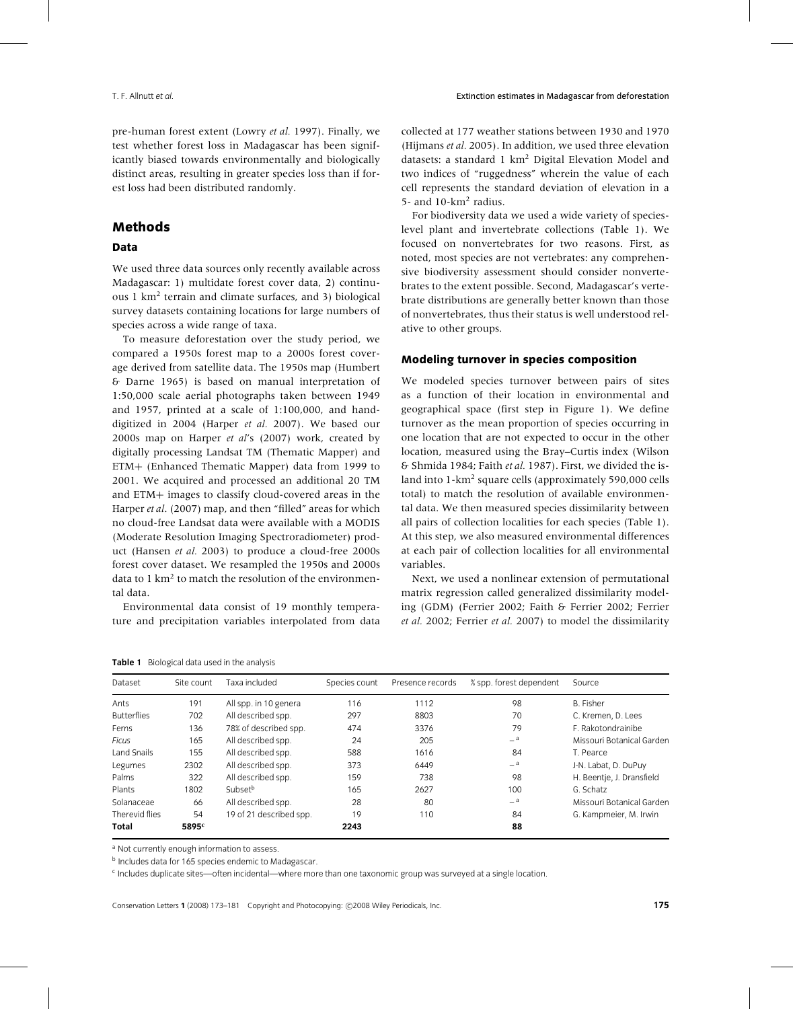pre-human forest extent (Lowry *et al.* 1997). Finally, we test whether forest loss in Madagascar has been significantly biased towards environmentally and biologically distinct areas, resulting in greater species loss than if forest loss had been distributed randomly.

## **Methods**

### **Data**

We used three data sources only recently available across Madagascar: 1) multidate forest cover data, 2) continuous 1 km<sup>2</sup> terrain and climate surfaces, and 3) biological survey datasets containing locations for large numbers of species across a wide range of taxa.

To measure deforestation over the study period, we compared a 1950s forest map to a 2000s forest coverage derived from satellite data. The 1950s map (Humbert & Darne 1965) is based on manual interpretation of 1:50,000 scale aerial photographs taken between 1949 and 1957, printed at a scale of 1:100,000, and handdigitized in 2004 (Harper *et al.* 2007). We based our 2000s map on Harper *et al*'s (2007) work, created by digitally processing Landsat TM (Thematic Mapper) and ETM+ (Enhanced Thematic Mapper) data from 1999 to 2001. We acquired and processed an additional 20 TM and ETM+ images to classify cloud-covered areas in the Harper *et al*. (2007) map, and then "filled" areas for which no cloud-free Landsat data were available with a MODIS (Moderate Resolution Imaging Spectroradiometer) product (Hansen *et al.* 2003) to produce a cloud-free 2000s forest cover dataset. We resampled the 1950s and 2000s data to 1  $km^2$  to match the resolution of the environmental data.

Environmental data consist of 19 monthly temperature and precipitation variables interpolated from data

|  | Table 1 Biological data used in the analysis |  |  |  |  |  |
|--|----------------------------------------------|--|--|--|--|--|
|--|----------------------------------------------|--|--|--|--|--|

collected at 177 weather stations between 1930 and 1970 (Hijmans *et al.* 2005). In addition, we used three elevation datasets: a standard 1 km<sup>2</sup> Digital Elevation Model and two indices of "ruggedness" wherein the value of each cell represents the standard deviation of elevation in a 5- and  $10$ - $km<sup>2</sup>$  radius.

For biodiversity data we used a wide variety of specieslevel plant and invertebrate collections (Table 1). We focused on nonvertebrates for two reasons. First, as noted, most species are not vertebrates: any comprehensive biodiversity assessment should consider nonvertebrates to the extent possible. Second, Madagascar's vertebrate distributions are generally better known than those of nonvertebrates, thus their status is well understood relative to other groups.

#### **Modeling turnover in species composition**

We modeled species turnover between pairs of sites as a function of their location in environmental and geographical space (first step in Figure 1). We define turnover as the mean proportion of species occurring in one location that are not expected to occur in the other location, measured using the Bray–Curtis index (Wilson & Shmida 1984; Faith *et al.* 1987). First, we divided the island into 1-km<sup>2</sup> square cells (approximately 590,000 cells total) to match the resolution of available environmental data. We then measured species dissimilarity between all pairs of collection localities for each species (Table 1). At this step, we also measured environmental differences at each pair of collection localities for all environmental variables.

Next, we used a nonlinear extension of permutational matrix regression called generalized dissimilarity modeling (GDM) (Ferrier 2002; Faith & Ferrier 2002; Ferrier *et al.* 2002; Ferrier *et al.* 2007) to model the dissimilarity

| Dataset            | Site count        | Taxa included           | Species count | Presence records | % spp. forest dependent | Source                    |
|--------------------|-------------------|-------------------------|---------------|------------------|-------------------------|---------------------------|
| Ants               | 191               | All spp. in 10 genera   | 116           | 1112             | 98                      | B. Fisher                 |
| <b>Butterflies</b> | 702               | All described spp.      | 297           | 8803             | 70                      | C. Kremen, D. Lees        |
| Ferns              | 136               | 78% of described spp.   | 474           | 3376             | 79                      | F. Rakotondrainibe        |
| <b>Ficus</b>       | 165               | All described spp.      | 24            | 205              | $-$ a                   | Missouri Botanical Garden |
| <b>Land Snails</b> | 155               | All described spp.      | 588           | 1616             | 84                      | T. Pearce                 |
| Legumes            | 2302              | All described spp.      | 373           | 6449             | $=$ a                   | J-N. Labat, D. DuPuy      |
| Palms              | 322               | All described spp.      | 159           | 738              | 98                      | H. Beentje, J. Dransfield |
| Plants             | 1802              | Subset <sup>b</sup>     | 165           | 2627             | 100                     | G. Schatz                 |
| Solanaceae         | 66                | All described spp.      | 28            | 80               | $-$ a                   | Missouri Botanical Garden |
| Therevid flies     | 54                | 19 of 21 described spp. | 19            | 110              | 84                      | G. Kampmeier, M. Irwin    |
| <b>Total</b>       | 5895 <sup>c</sup> |                         | 2243          |                  | 88                      |                           |

a Not currently enough information to assess.

b Includes data for 165 species endemic to Madagascar.

<sup>c</sup> Includes duplicate sites—often incidental—where more than one taxonomic group was surveyed at a single location.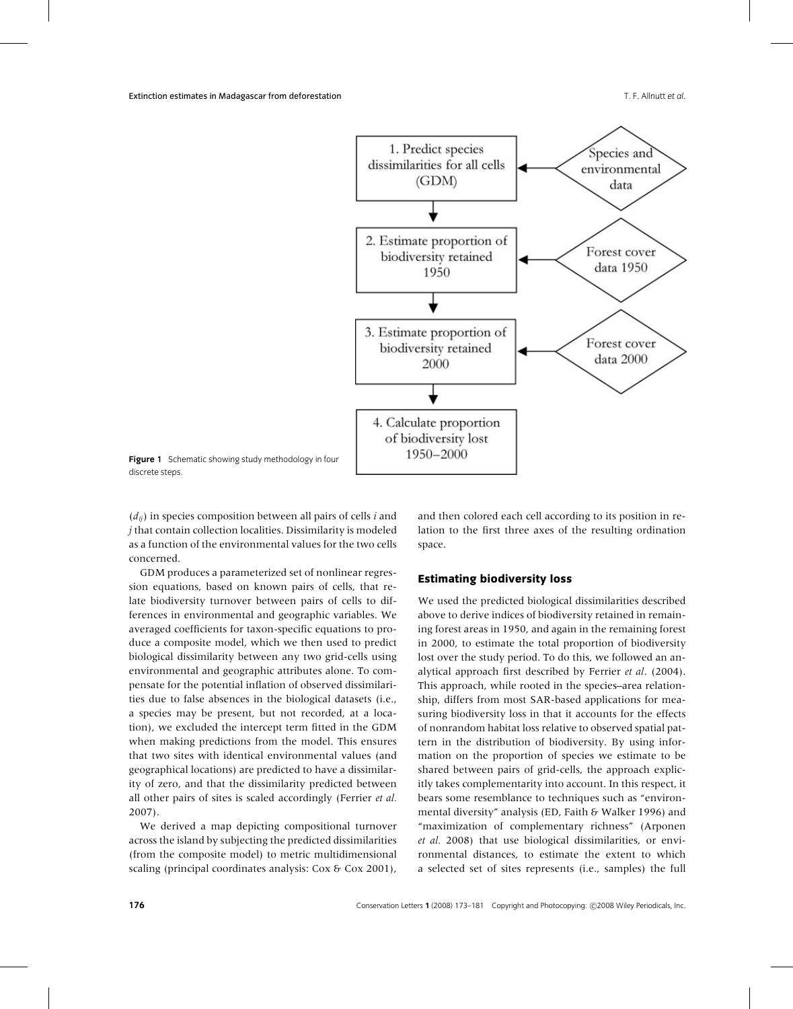

**Figure 1** Schematic showing study methodology in four discrete steps.

 $(d_{ij})$  in species composition between all pairs of cells *i* and *j* that contain collection localities. Dissimilarity is modeled as a function of the environmental values for the two cells concerned.

GDM produces a parameterized set of nonlinear regression equations, based on known pairs of cells, that relate biodiversity turnover between pairs of cells to differences in environmental and geographic variables. We averaged coefficients for taxon-specific equations to produce a composite model, which we then used to predict biological dissimilarity between any two grid-cells using environmental and geographic attributes alone. To compensate for the potential inflation of observed dissimilarities due to false absences in the biological datasets (i.e., a species may be present, but not recorded, at a location), we excluded the intercept term fitted in the GDM when making predictions from the model. This ensures that two sites with identical environmental values (and geographical locations) are predicted to have a dissimilarity of zero, and that the dissimilarity predicted between all other pairs of sites is scaled accordingly (Ferrier *et al.* 2007).

We derived a map depicting compositional turnover across the island by subjecting the predicted dissimilarities (from the composite model) to metric multidimensional scaling (principal coordinates analysis: Cox & Cox 2001),

and then colored each cell according to its position in relation to the first three axes of the resulting ordination space.

#### **Estimating biodiversity loss**

We used the predicted biological dissimilarities described above to derive indices of biodiversity retained in remaining forest areas in 1950, and again in the remaining forest in 2000, to estimate the total proportion of biodiversity lost over the study period. To do this, we followed an analytical approach first described by Ferrier *et al*. (2004). This approach, while rooted in the species–area relationship, differs from most SAR-based applications for measuring biodiversity loss in that it accounts for the effects of nonrandom habitat loss relative to observed spatial pattern in the distribution of biodiversity. By using information on the proportion of species we estimate to be shared between pairs of grid-cells, the approach explicitly takes complementarity into account. In this respect, it bears some resemblance to techniques such as "environmental diversity" analysis (ED, Faith & Walker 1996) and "maximization of complementary richness" (Arponen *et al.* 2008) that use biological dissimilarities, or environmental distances, to estimate the extent to which a selected set of sites represents (i.e., samples) the full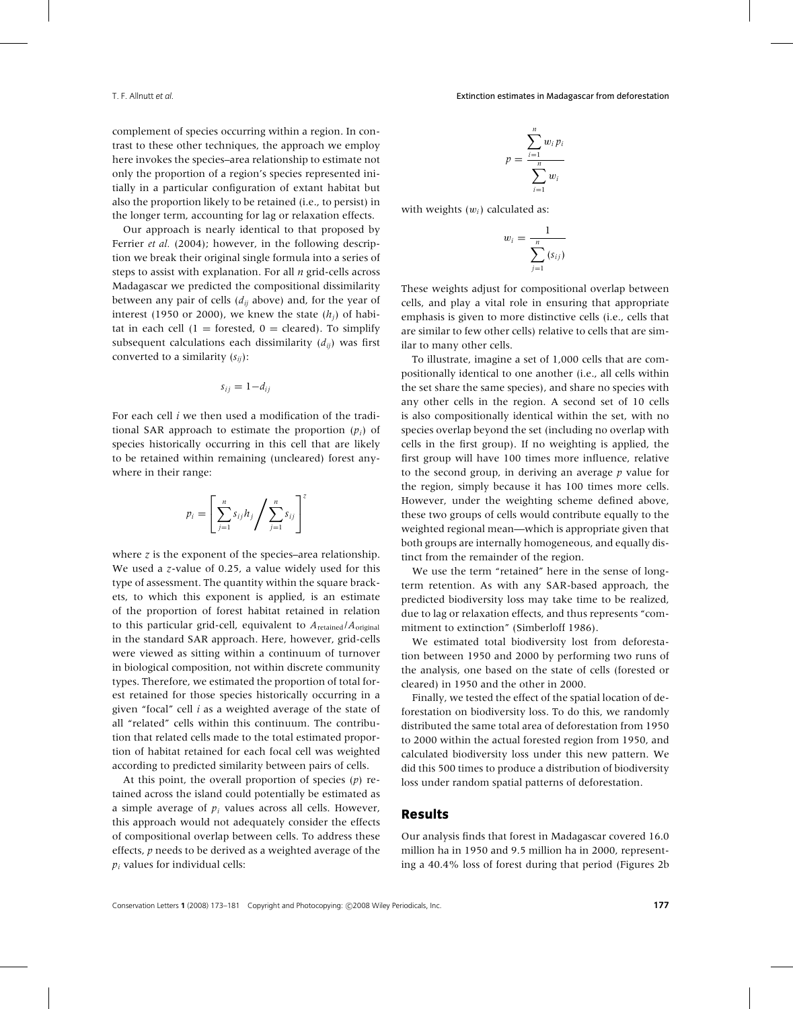complement of species occurring within a region. In contrast to these other techniques, the approach we employ here invokes the species–area relationship to estimate not only the proportion of a region's species represented initially in a particular configuration of extant habitat but also the proportion likely to be retained (i.e., to persist) in the longer term, accounting for lag or relaxation effects.

Our approach is nearly identical to that proposed by Ferrier *et al.* (2004); however, in the following description we break their original single formula into a series of steps to assist with explanation. For all *n* grid-cells across Madagascar we predicted the compositional dissimilarity between any pair of cells (*dij* above) and, for the year of interest (1950 or 2000), we knew the state  $(h_i)$  of habitat in each cell  $(1 =$  forested,  $0 =$  cleared). To simplify subsequent calculations each dissimilarity  $(d_{ii})$  was first converted to a similarity (*sij*):

$$
s_{ij} = 1 - d_{ij}
$$

For each cell *i* we then used a modification of the traditional SAR approach to estimate the proportion (*pi*) of species historically occurring in this cell that are likely to be retained within remaining (uncleared) forest anywhere in their range:

$$
p_i = \left[\sum_{j=1}^n s_{ij} h_j / \sum_{j=1}^n s_{ij}\right]^2
$$

where *z* is the exponent of the species–area relationship. We used a *z*-value of 0.25, a value widely used for this type of assessment. The quantity within the square brackets, to which this exponent is applied, is an estimate of the proportion of forest habitat retained in relation to this particular grid-cell, equivalent to *A*retained/*A*original in the standard SAR approach. Here, however, grid-cells were viewed as sitting within a continuum of turnover in biological composition, not within discrete community types. Therefore, we estimated the proportion of total forest retained for those species historically occurring in a given "focal" cell *i* as a weighted average of the state of all "related" cells within this continuum. The contribution that related cells made to the total estimated proportion of habitat retained for each focal cell was weighted according to predicted similarity between pairs of cells.

At this point, the overall proportion of species (*p*) retained across the island could potentially be estimated as a simple average of *pi* values across all cells. However, this approach would not adequately consider the effects of compositional overlap between cells. To address these effects, *p* needs to be derived as a weighted average of the  $p_i$  values for individual cells:

$$
p = \frac{\sum_{i=1}^{n} w_i p_i}{\sum_{i=1}^{n} w_i}
$$

with weights  $(w_i)$  calculated as:

$$
w_i = \frac{1}{\sum_{j=1}^n (s_{ij})}
$$

These weights adjust for compositional overlap between cells, and play a vital role in ensuring that appropriate emphasis is given to more distinctive cells (i.e., cells that are similar to few other cells) relative to cells that are similar to many other cells.

To illustrate, imagine a set of 1,000 cells that are compositionally identical to one another (i.e., all cells within the set share the same species), and share no species with any other cells in the region. A second set of 10 cells is also compositionally identical within the set, with no species overlap beyond the set (including no overlap with cells in the first group). If no weighting is applied, the first group will have 100 times more influence, relative to the second group, in deriving an average *p* value for the region, simply because it has 100 times more cells. However, under the weighting scheme defined above, these two groups of cells would contribute equally to the weighted regional mean—which is appropriate given that both groups are internally homogeneous, and equally distinct from the remainder of the region.

We use the term "retained" here in the sense of longterm retention. As with any SAR-based approach, the predicted biodiversity loss may take time to be realized, due to lag or relaxation effects, and thus represents "commitment to extinction" (Simberloff 1986).

We estimated total biodiversity lost from deforestation between 1950 and 2000 by performing two runs of the analysis, one based on the state of cells (forested or cleared) in 1950 and the other in 2000.

Finally, we tested the effect of the spatial location of deforestation on biodiversity loss. To do this, we randomly distributed the same total area of deforestation from 1950 to 2000 within the actual forested region from 1950, and calculated biodiversity loss under this new pattern. We did this 500 times to produce a distribution of biodiversity loss under random spatial patterns of deforestation.

# **Results**

Our analysis finds that forest in Madagascar covered 16.0 million ha in 1950 and 9.5 million ha in 2000, representing a 40.4% loss of forest during that period (Figures 2b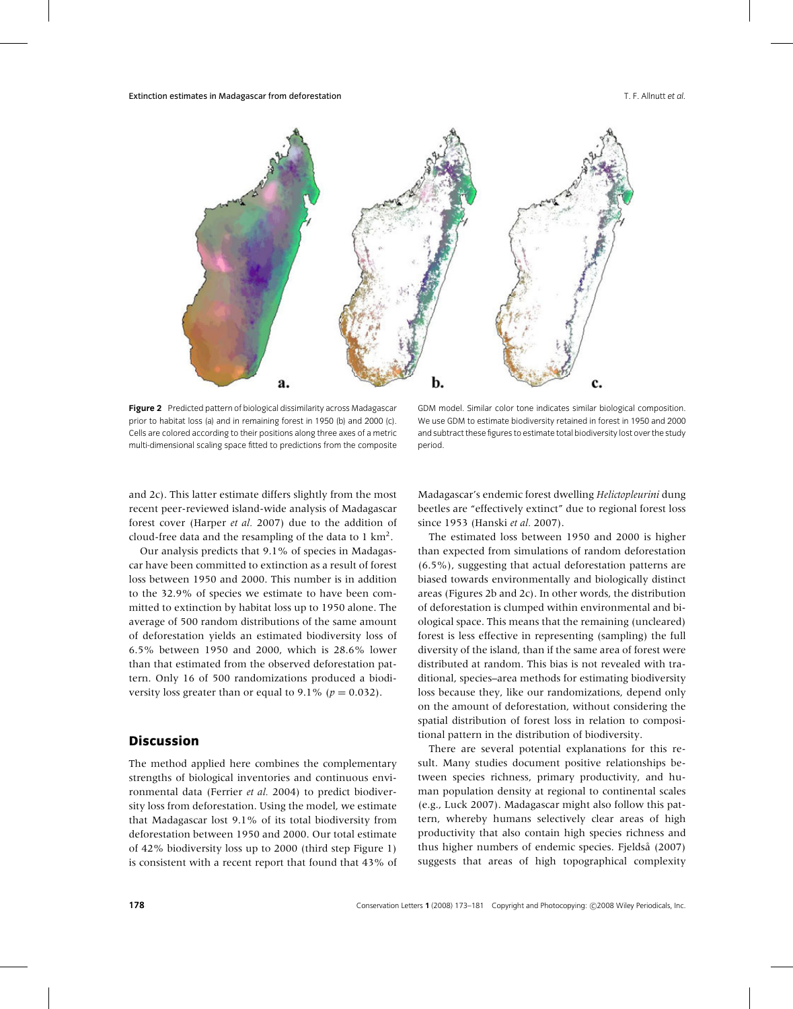

**Figure 2** Predicted pattern of biological dissimilarity across Madagascar prior to habitat loss (a) and in remaining forest in 1950 (b) and 2000 (c). Cells are colored according to their positions along three axes of a metric multi-dimensional scaling space fitted to predictions from the composite

GDM model. Similar color tone indicates similar biological composition. We use GDM to estimate biodiversity retained in forest in 1950 and 2000 and subtract these figures to estimate total biodiversity lost over the study period.

and 2c). This latter estimate differs slightly from the most recent peer-reviewed island-wide analysis of Madagascar forest cover (Harper *et al.* 2007) due to the addition of cloud-free data and the resampling of the data to 1 km2.

Our analysis predicts that 9.1% of species in Madagascar have been committed to extinction as a result of forest loss between 1950 and 2000. This number is in addition to the 32.9% of species we estimate to have been committed to extinction by habitat loss up to 1950 alone. The average of 500 random distributions of the same amount of deforestation yields an estimated biodiversity loss of 6.5% between 1950 and 2000, which is 28.6% lower than that estimated from the observed deforestation pattern. Only 16 of 500 randomizations produced a biodiversity loss greater than or equal to 9.1% ( $p = 0.032$ ).

# **Discussion**

The method applied here combines the complementary strengths of biological inventories and continuous environmental data (Ferrier *et al.* 2004) to predict biodiversity loss from deforestation. Using the model, we estimate that Madagascar lost 9.1% of its total biodiversity from deforestation between 1950 and 2000. Our total estimate of 42% biodiversity loss up to 2000 (third step Figure 1) is consistent with a recent report that found that 43% of

Madagascar's endemic forest dwelling *Helictopleurini* dung beetles are "effectively extinct" due to regional forest loss since 1953 (Hanski *et al.* 2007).

The estimated loss between 1950 and 2000 is higher than expected from simulations of random deforestation (6.5%), suggesting that actual deforestation patterns are biased towards environmentally and biologically distinct areas (Figures 2b and 2c). In other words, the distribution of deforestation is clumped within environmental and biological space. This means that the remaining (uncleared) forest is less effective in representing (sampling) the full diversity of the island, than if the same area of forest were distributed at random. This bias is not revealed with traditional, species–area methods for estimating biodiversity loss because they, like our randomizations, depend only on the amount of deforestation, without considering the spatial distribution of forest loss in relation to compositional pattern in the distribution of biodiversity.

There are several potential explanations for this result. Many studies document positive relationships between species richness, primary productivity, and human population density at regional to continental scales (e.g., Luck 2007). Madagascar might also follow this pattern, whereby humans selectively clear areas of high productivity that also contain high species richness and thus higher numbers of endemic species. Fjeldså (2007) suggests that areas of high topographical complexity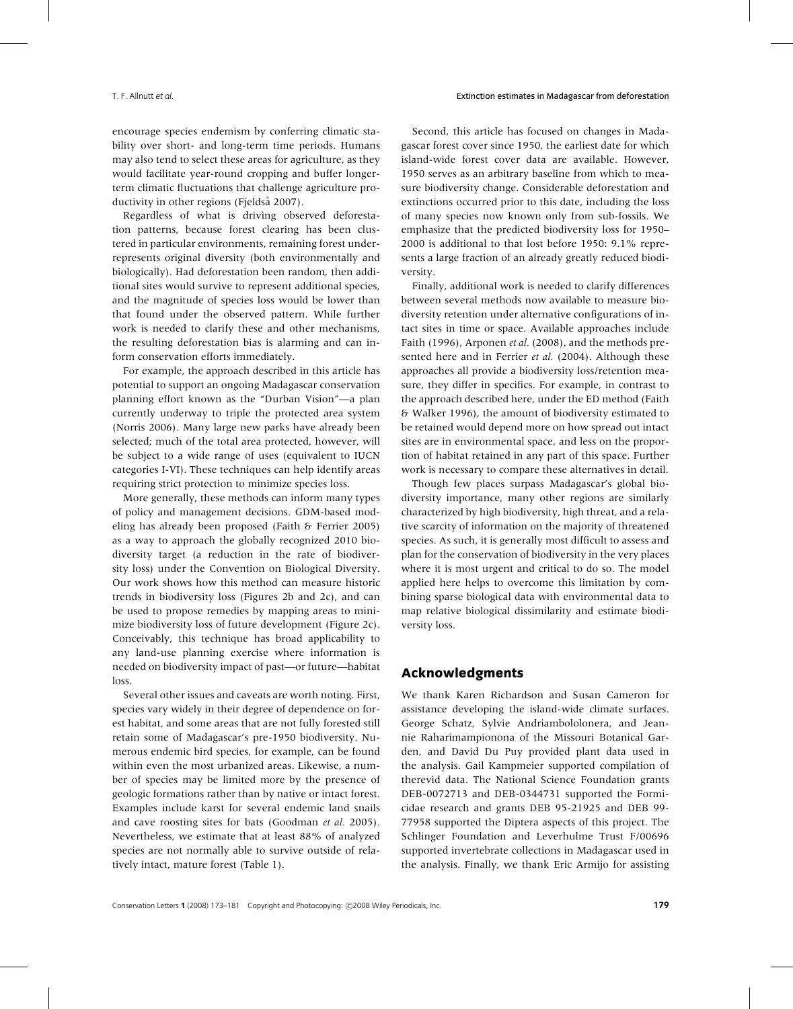encourage species endemism by conferring climatic stability over short- and long-term time periods. Humans may also tend to select these areas for agriculture, as they would facilitate year-round cropping and buffer longerterm climatic fluctuations that challenge agriculture productivity in other regions (Fjeldså 2007).

Regardless of what is driving observed deforestation patterns, because forest clearing has been clustered in particular environments, remaining forest underrepresents original diversity (both environmentally and biologically). Had deforestation been random, then additional sites would survive to represent additional species, and the magnitude of species loss would be lower than that found under the observed pattern. While further work is needed to clarify these and other mechanisms, the resulting deforestation bias is alarming and can inform conservation efforts immediately.

For example, the approach described in this article has potential to support an ongoing Madagascar conservation planning effort known as the "Durban Vision"—a plan currently underway to triple the protected area system (Norris 2006). Many large new parks have already been selected; much of the total area protected, however, will be subject to a wide range of uses (equivalent to IUCN categories I-VI). These techniques can help identify areas requiring strict protection to minimize species loss.

More generally, these methods can inform many types of policy and management decisions. GDM-based modeling has already been proposed (Faith & Ferrier 2005) as a way to approach the globally recognized 2010 biodiversity target (a reduction in the rate of biodiversity loss) under the Convention on Biological Diversity. Our work shows how this method can measure historic trends in biodiversity loss (Figures 2b and 2c), and can be used to propose remedies by mapping areas to minimize biodiversity loss of future development (Figure 2c). Conceivably, this technique has broad applicability to any land-use planning exercise where information is needed on biodiversity impact of past—or future—habitat loss.

Several other issues and caveats are worth noting. First, species vary widely in their degree of dependence on forest habitat, and some areas that are not fully forested still retain some of Madagascar's pre-1950 biodiversity. Numerous endemic bird species, for example, can be found within even the most urbanized areas. Likewise, a number of species may be limited more by the presence of geologic formations rather than by native or intact forest. Examples include karst for several endemic land snails and cave roosting sites for bats (Goodman *et al.* 2005). Nevertheless, we estimate that at least 88% of analyzed species are not normally able to survive outside of relatively intact, mature forest (Table 1).

Second, this article has focused on changes in Madagascar forest cover since 1950, the earliest date for which island-wide forest cover data are available. However, 1950 serves as an arbitrary baseline from which to measure biodiversity change. Considerable deforestation and extinctions occurred prior to this date, including the loss of many species now known only from sub-fossils. We emphasize that the predicted biodiversity loss for 1950– 2000 is additional to that lost before 1950: 9.1% represents a large fraction of an already greatly reduced biodiversity.

Finally, additional work is needed to clarify differences between several methods now available to measure biodiversity retention under alternative configurations of intact sites in time or space. Available approaches include Faith (1996), Arponen *et al.* (2008), and the methods presented here and in Ferrier *et al.* (2004). Although these approaches all provide a biodiversity loss/retention measure, they differ in specifics. For example, in contrast to the approach described here, under the ED method (Faith & Walker 1996), the amount of biodiversity estimated to be retained would depend more on how spread out intact sites are in environmental space, and less on the proportion of habitat retained in any part of this space. Further work is necessary to compare these alternatives in detail.

Though few places surpass Madagascar's global biodiversity importance, many other regions are similarly characterized by high biodiversity, high threat, and a relative scarcity of information on the majority of threatened species. As such, it is generally most difficult to assess and plan for the conservation of biodiversity in the very places where it is most urgent and critical to do so. The model applied here helps to overcome this limitation by combining sparse biological data with environmental data to map relative biological dissimilarity and estimate biodiversity loss.

# **Acknowledgments**

We thank Karen Richardson and Susan Cameron for assistance developing the island-wide climate surfaces. George Schatz, Sylvie Andriambololonera, and Jeannie Raharimampionona of the Missouri Botanical Garden, and David Du Puy provided plant data used in the analysis. Gail Kampmeier supported compilation of therevid data. The National Science Foundation grants DEB-0072713 and DEB-0344731 supported the Formicidae research and grants DEB 95-21925 and DEB 99- 77958 supported the Diptera aspects of this project. The Schlinger Foundation and Leverhulme Trust F/00696 supported invertebrate collections in Madagascar used in the analysis. Finally, we thank Eric Armijo for assisting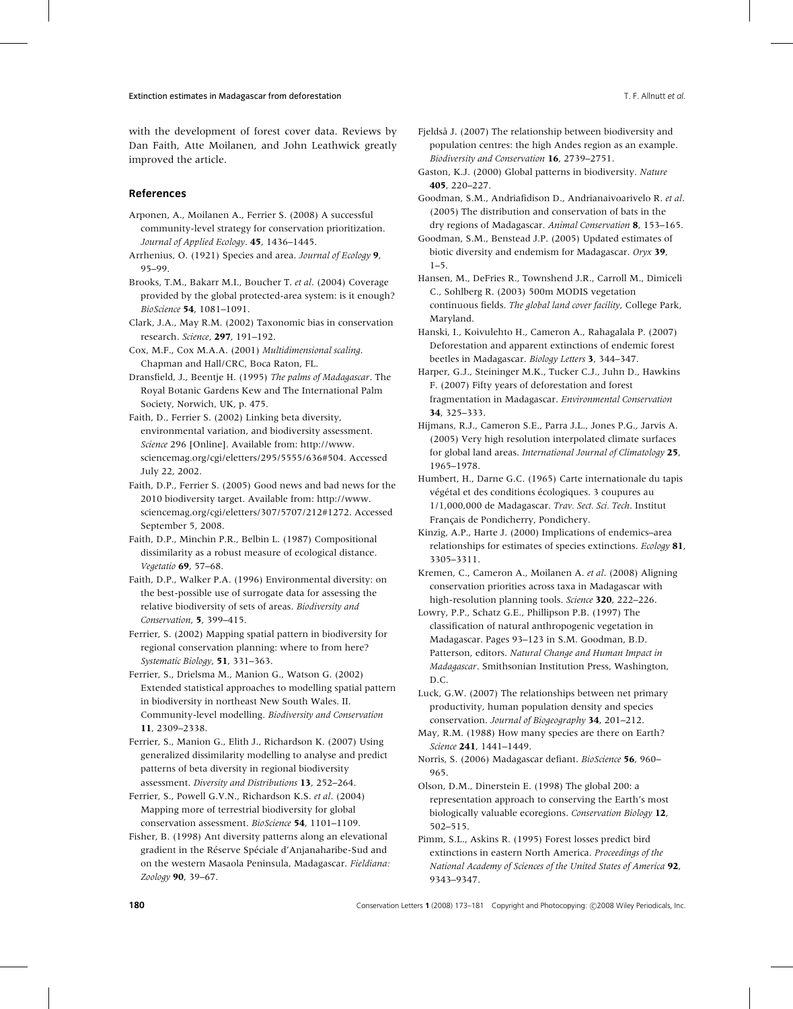with the development of forest cover data. Reviews by Dan Faith, Atte Moilanen, and John Leathwick greatly improved the article.

#### **References**

- Arponen, A., Moilanen A., Ferrier S. (2008) A successful community-level strategy for conservation prioritization. *Journal of Applied Ecology*. **45**, 1436–1445.
- Arrhenius, O. (1921) Species and area. *Journal of Ecology* **9**, 95–99.

Brooks, T.M., Bakarr M.I., Boucher T. *et al*. (2004) Coverage provided by the global protected-area system: is it enough? *BioScience* **54**, 1081–1091.

Clark, J.A., May R.M. (2002) Taxonomic bias in conservation research. *Science*, **297**, 191–192.

Cox, M.F., Cox M.A.A. (2001) *Multidimensional scaling*. Chapman and Hall/CRC, Boca Raton, FL.

Dransfield, J., Beentje H. (1995) *The palms of Madagascar*. The Royal Botanic Gardens Kew and The International Palm Society, Norwich, UK, p. 475.

Faith, D., Ferrier S. (2002) Linking beta diversity, environmental variation, and biodiversity assessment. *Science* 296 [Online]. Available from: http://www. sciencemag.org/cgi/eletters/295/5555/636#504. Accessed July 22, 2002.

Faith, D.P., Ferrier S. (2005) Good news and bad news for the 2010 biodiversity target. Available from: http://www. sciencemag.org/cgi/eletters/307/5707/212#1272. Accessed September 5, 2008.

Faith, D.P., Minchin P.R., Belbin L. (1987) Compositional dissimilarity as a robust measure of ecological distance. *Vegetatio* **69**, 57–68.

Faith, D.P., Walker P.A. (1996) Environmental diversity: on the best-possible use of surrogate data for assessing the relative biodiversity of sets of areas. *Biodiversity and Conservation*, **5**, 399–415.

Ferrier, S. (2002) Mapping spatial pattern in biodiversity for regional conservation planning: where to from here? *Systematic Biology*, **51**, 331–363.

Ferrier, S., Drielsma M., Manion G., Watson G. (2002) Extended statistical approaches to modelling spatial pattern in biodiversity in northeast New South Wales. II. Community-level modelling. *Biodiversity and Conservation* **11**, 2309–2338.

Ferrier, S., Manion G., Elith J., Richardson K. (2007) Using generalized dissimilarity modelling to analyse and predict patterns of beta diversity in regional biodiversity assessment. *Diversity and Distributions* **13**, 252–264.

Ferrier, S., Powell G.V.N., Richardson K.S. *et al*. (2004) Mapping more of terrestrial biodiversity for global conservation assessment. *BioScience* **54**, 1101–1109.

Fisher, B. (1998) Ant diversity patterns along an elevational gradient in the Réserve Spéciale d'Anjanaharibe-Sud and on the western Masaola Peninsula, Madagascar. *Fieldiana: Zoology* **90**, 39–67.

Fieldså J. (2007) The relationship between biodiversity and population centres: the high Andes region as an example. *Biodiversity and Conservation* **16**, 2739–2751.

Gaston, K.J. (2000) Global patterns in biodiversity. *Nature* **405**, 220–227.

Goodman, S.M., Andriafidison D., Andrianaivoarivelo R. *et al*. (2005) The distribution and conservation of bats in the dry regions of Madagascar. *Animal Conservation* **8**, 153–165.

Goodman, S.M., Benstead J.P. (2005) Updated estimates of biotic diversity and endemism for Madagascar. *Oryx* **39**,  $1 - 5$ .

Hansen, M., DeFries R., Townshend J.R., Carroll M., Dimiceli C., Sohlberg R. (2003) 500m MODIS vegetation continuous fields. *The global land cover facility*, College Park, Maryland.

Hanski, I., Koivulehto H., Cameron A., Rahagalala P. (2007) Deforestation and apparent extinctions of endemic forest beetles in Madagascar. *Biology Letters* **3**, 344–347.

Harper, G.J., Steininger M.K., Tucker C.J., Juhn D., Hawkins F. (2007) Fifty years of deforestation and forest fragmentation in Madagascar. *Environmental Conservation* **34**, 325–333.

Hijmans, R.J., Cameron S.E., Parra J.L., Jones P.G., Jarvis A. (2005) Very high resolution interpolated climate surfaces for global land areas. *International Journal of Climatology* **25**, 1965–1978.

Humbert, H., Darne G.C. (1965) Carte internationale du tapis végétal et des conditions écologiques. 3 coupures au 1/1,000,000 de Madagascar. *Trav. Sect. Sci. Tech*. Institut Français de Pondicherry, Pondichery.

Kinzig, A.P., Harte J. (2000) Implications of endemics–area relationships for estimates of species extinctions. *Ecology* **81**, 3305–3311.

Kremen, C., Cameron A., Moilanen A. *et al*. (2008) Aligning conservation priorities across taxa in Madagascar with high-resolution planning tools. *Science* **320**, 222–226.

Lowry, P.P., Schatz G.E., Phillipson P.B. (1997) The classification of natural anthropogenic vegetation in Madagascar. Pages 93–123 in S.M. Goodman, B.D. Patterson, editors. *Natural Change and Human Impact in Madagascar*. Smithsonian Institution Press, Washington, D.C.

Luck, G.W. (2007) The relationships between net primary productivity, human population density and species conservation. *Journal of Biogeography* **34**, 201–212.

May, R.M. (1988) How many species are there on Earth? *Science* **241**, 1441–1449.

Norris, S. (2006) Madagascar defiant. *BioScience* **56**, 960– 965.

Olson, D.M., Dinerstein E. (1998) The global 200: a representation approach to conserving the Earth's most biologically valuable ecoregions. *Conservation Biology* **12**, 502–515.

Pimm, S.L., Askins R. (1995) Forest losses predict bird extinctions in eastern North America. *Proceedings of the National Academy of Sciences of the United States of America* **92**, 9343–9347.